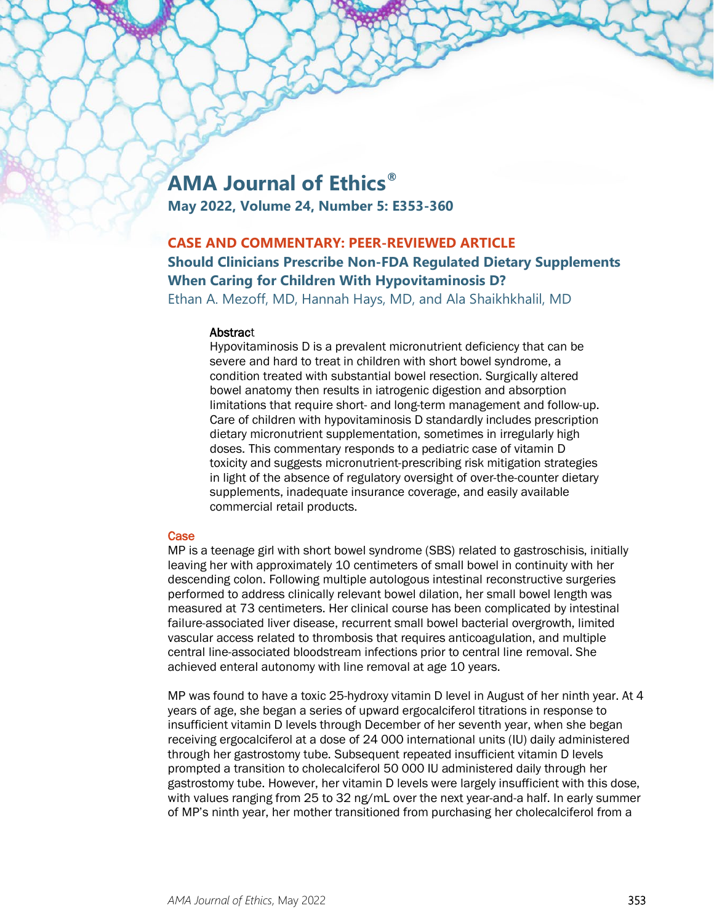# **AMA Journal of Ethics®**

**May 2022, Volume 24, Number 5: E353-360**

# **CASE AND COMMENTARY: PEER-REVIEWED ARTICLE**

## **Should Clinicians Prescribe Non-FDA Regulated Dietary Supplements When Caring for Children With Hypovitaminosis D?**

Ethan A. Mezoff, MD, Hannah Hays, MD, and Ala Shaikhkhalil, MD

### **Abstract**

Hypovitaminosis D is a prevalent micronutrient deficiency that can be severe and hard to treat in children with short bowel syndrome, a condition treated with substantial bowel resection. Surgically altered bowel anatomy then results in iatrogenic digestion and absorption limitations that require short- and long-term management and follow-up. Care of children with hypovitaminosis D standardly includes prescription dietary micronutrient supplementation, sometimes in irregularly high doses. This commentary responds to a pediatric case of vitamin D toxicity and suggests micronutrient-prescribing risk mitigation strategies in light of the absence of regulatory oversight of over-the-counter dietary supplements, inadequate insurance coverage, and easily available commercial retail products.

### **Case**

MP is a teenage girl with short bowel syndrome (SBS) related to gastroschisis, initially leaving her with approximately 10 centimeters of small bowel in continuity with her descending colon. Following multiple autologous intestinal reconstructive surgeries performed to address clinically relevant bowel dilation, her small bowel length was measured at 73 centimeters. Her clinical course has been complicated by intestinal failure-associated liver disease, recurrent small bowel bacterial overgrowth, limited vascular access related to thrombosis that requires anticoagulation, and multiple central line-associated bloodstream infections prior to central line removal. She achieved enteral autonomy with line removal at age 10 years.

MP was found to have a toxic 25-hydroxy vitamin D level in August of her ninth year. At 4 years of age, she began a series of upward ergocalciferol titrations in response to insufficient vitamin D levels through December of her seventh year, when she began receiving ergocalciferol at a dose of 24 000 international units (IU) daily administered through her gastrostomy tube. Subsequent repeated insufficient vitamin D levels prompted a transition to cholecalciferol 50 000 IU administered daily through her gastrostomy tube. However, her vitamin D levels were largely insufficient with this dose, with values ranging from 25 to 32 ng/mL over the next year-and-a half. In early summer of MP's ninth year, her mother transitioned from purchasing her cholecalciferol from a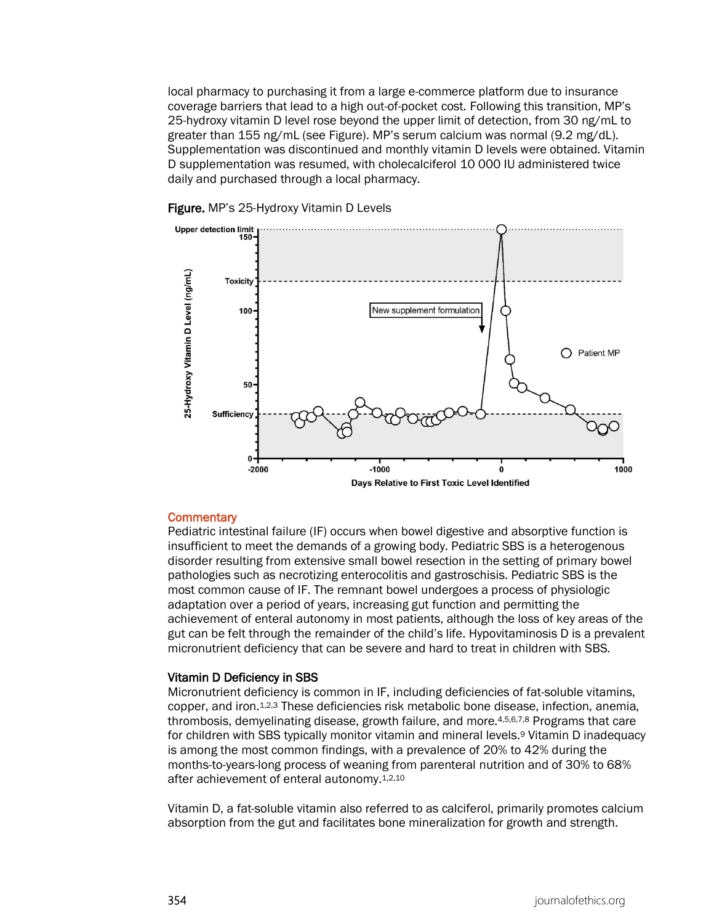local pharmacy to purchasing it from a large e-commerce platform due to insurance coverage barriers that lead to a high out-of-pocket cost. Following this transition, MP's 25-hydroxy vitamin D level rose beyond the upper limit of detection, from 30 ng/mL to greater than 155 ng/mL (see Figure). MP's serum calcium was normal (9.2 mg/dL). Supplementation was discontinued and monthly vitamin D levels were obtained. Vitamin D supplementation was resumed, with cholecalciferol 10 000 IU administered twice daily and purchased through a local pharmacy.





#### **Commentary**

Pediatric intestinal failure (IF) occurs when bowel digestive and absorptive function is insufficient to meet the demands of a growing body. Pediatric SBS is a heterogenous disorder resulting from extensive small bowel resection in the setting of primary bowel pathologies such as necrotizing enterocolitis and gastroschisis. Pediatric SBS is the most common cause of IF. The remnant bowel undergoes a process of physiologic adaptation over a period of years, increasing gut function and permitting the achievement of enteral autonomy in most patients, although the loss of key areas of the gut can be felt through the remainder of the child's life. Hypovitaminosis D is a prevalent micronutrient deficiency that can be severe and hard to treat in children with SBS.

#### Vitamin D Deficiency in SBS

Micronutrient deficiency is common in IF, including deficiencies of fat-soluble vitamins, copper, and iron.1,2,3 These deficiencies risk metabolic bone disease, infection, anemia, thrombosis, demyelinating disease, growth failure, and more.4,5,6,7,8 Programs that care for children with SBS typically monitor vitamin and mineral levels.9 Vitamin D inadequacy is among the most common findings, with a prevalence of 20% to 42% during the months-to-years-long process of weaning from parenteral nutrition and of 30% to 68% after achievement of enteral autonomy.1,2,10

Vitamin D, a fat-soluble vitamin also referred to as calciferol, primarily promotes calcium absorption from the gut and facilitates bone mineralization for growth and strength.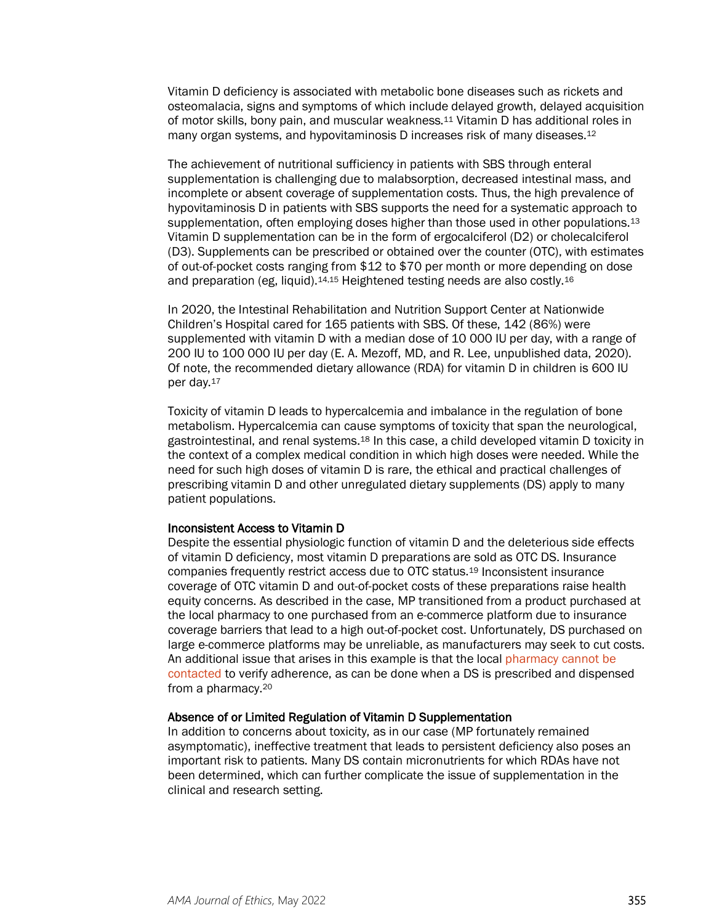Vitamin D deficiency is associated with metabolic bone diseases such as rickets and osteomalacia, signs and symptoms of which include delayed growth, delayed acquisition of motor skills, bony pain, and muscular weakness.11 Vitamin D has additional roles in many organ systems, and hypovitaminosis D increases risk of many diseases.<sup>12</sup>

The achievement of nutritional sufficiency in patients with SBS through enteral supplementation is challenging due to malabsorption, decreased intestinal mass, and incomplete or absent coverage of supplementation costs. Thus, the high prevalence of hypovitaminosis D in patients with SBS supports the need for a systematic approach to supplementation, often employing doses higher than those used in other populations.<sup>13</sup> Vitamin D supplementation can be in the form of ergocalciferol (D2) or cholecalciferol (D3). Supplements can be prescribed or obtained over the counter (OTC), with estimates of out-of-pocket costs ranging from \$12 to \$70 per month or more depending on dose and preparation (eg, liquid).14,15 Heightened testing needs are also costly.16

In 2020, the Intestinal Rehabilitation and Nutrition Support Center at Nationwide Children's Hospital cared for 165 patients with SBS. Of these, 142 (86%) were supplemented with vitamin D with a median dose of 10 000 IU per day, with a range of 200 IU to 100 000 IU per day (E. A. Mezoff, MD, and R. Lee, unpublished data, 2020). Of note, the recommended dietary allowance (RDA) for vitamin D in children is 600 IU per day.17

Toxicity of vitamin D leads to hypercalcemia and imbalance in the regulation of bone metabolism. Hypercalcemia can cause symptoms of toxicity that span the neurological, gastrointestinal, and renal systems.18 In this case, a child developed vitamin D toxicity in the context of a complex medical condition in which high doses were needed. While the need for such high doses of vitamin D is rare, the ethical and practical challenges of prescribing vitamin D and other unregulated dietary supplements (DS) apply to many patient populations.

#### Inconsistent Access to Vitamin D

Despite the essential physiologic function of vitamin D and the deleterious side effects of vitamin D deficiency, most vitamin D preparations are sold as OTC DS. Insurance companies frequently restrict access due to OTC status.19 Inconsistent insurance coverage of OTC vitamin D and out-of-pocket costs of these preparations raise health equity concerns. As described in the case, MP transitioned from a product purchased at the local pharmacy to one purchased from an e-commerce platform due to insurance coverage barriers that lead to a high out-of-pocket cost. Unfortunately, DS purchased on large e-commerce platforms may be unreliable, as manufacturers may seek to cut costs. An additional issue that arises in this example is that the local [pharmacy cannot be](https://journalofethics.ama-assn.org/article/what-does-good-pharmacist-physician-pain-management-collaboration-look/2020-08)  [contacted](https://journalofethics.ama-assn.org/article/what-does-good-pharmacist-physician-pain-management-collaboration-look/2020-08) to verify adherence, as can be done when a DS is prescribed and dispensed from a pharmacy.20

#### Absence of or Limited Regulation of Vitamin D Supplementation

In addition to concerns about toxicity, as in our case (MP fortunately remained asymptomatic), ineffective treatment that leads to persistent deficiency also poses an important risk to patients. Many DS contain micronutrients for which RDAs have not been determined, which can further complicate the issue of supplementation in the clinical and research setting.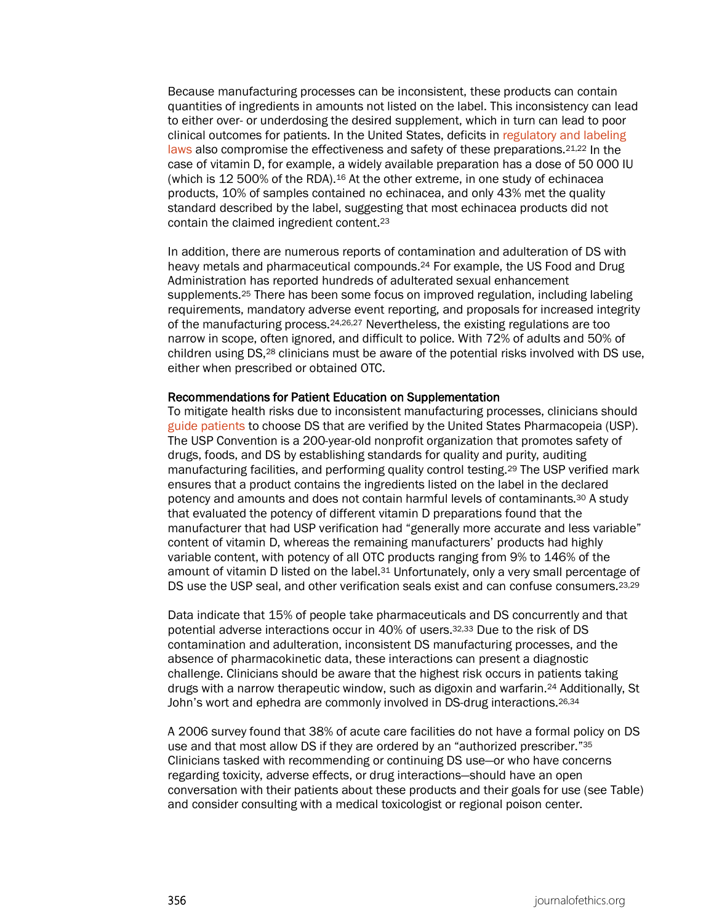Because manufacturing processes can be inconsistent, these products can contain quantities of ingredients in amounts not listed on the label. This inconsistency can lead to either over- or underdosing the desired supplement, which in turn can lead to poor clinical outcomes for patients. In the United States, deficits in [regulatory and labeling](https://journalofethics.ama-assn.org/article/what-should-clinicians-know-about-dietary-supplements/2022-05)  [laws](https://journalofethics.ama-assn.org/article/what-should-clinicians-know-about-dietary-supplements/2022-05) also compromise the effectiveness and safety of these preparations.<sup>21,22</sup> In the case of vitamin D, for example, a widely available preparation has a dose of 50 000 IU (which is 12 500% of the RDA).16 At the other extreme, in one study of echinacea products, 10% of samples contained no echinacea, and only 43% met the quality standard described by the label, suggesting that most echinacea products did not contain the claimed ingredient content.23

In addition, there are numerous reports of contamination and adulteration of DS with heavy metals and pharmaceutical compounds.24 For example, the US Food and Drug Administration has reported hundreds of adulterated sexual enhancement supplements.25 There has been some focus on improved regulation, including labeling requirements, mandatory adverse event reporting, and proposals for increased integrity of the manufacturing process.24,26,27 Nevertheless, the existing regulations are too narrow in scope, often ignored, and difficult to police. With 72% of adults and 50% of children using DS,28 clinicians must be aware of the potential risks involved with DS use, either when prescribed or obtained OTC.

#### Recommendations for Patient Education on Supplementation

To mitigate health risks due to inconsistent manufacturing processes, clinicians should [guide patients](https://journalofethics.ama-assn.org/article/how-should-physician-counsel-vegan-patient-ibd-who-might-benefit-supplements/2018-11) to choose DS that are verified by the United States Pharmacopeia (USP). The USP Convention is a 200-year-old nonprofit organization that promotes safety of drugs, foods, and DS by establishing standards for quality and purity, auditing manufacturing facilities, and performing quality control testing.29 The USP verified mark ensures that a product contains the ingredients listed on the label in the declared potency and amounts and does not contain harmful levels of contaminants.30 A study that evaluated the potency of different vitamin D preparations found that the manufacturer that had USP verification had "generally more accurate and less variable" content of vitamin D, whereas the remaining manufacturers' products had highly variable content, with potency of all OTC products ranging from 9% to 146% of the amount of vitamin D listed on the label.31 Unfortunately, only a very small percentage of DS use the USP seal, and other verification seals exist and can confuse consumers.<sup>23,29</sup>

Data indicate that 15% of people take pharmaceuticals and DS concurrently and that potential adverse interactions occur in 40% of users.32,33 Due to the risk of DS contamination and adulteration, inconsistent DS manufacturing processes, and the absence of pharmacokinetic data, these interactions can present a diagnostic challenge. Clinicians should be aware that the highest risk occurs in patients taking drugs with a narrow therapeutic window, such as digoxin and warfarin.24 Additionally, St John's wort and ephedra are commonly involved in DS-drug interactions.26,34

A 2006 survey found that 38% of acute care facilities do not have a formal policy on DS use and that most allow DS if they are ordered by an "authorized prescriber."35 Clinicians tasked with recommending or continuing DS use—or who have concerns regarding toxicity, adverse effects, or drug interactions—should have an open conversation with their patients about these products and their goals for use (see Table) and consider consulting with a medical toxicologist or regional poison center.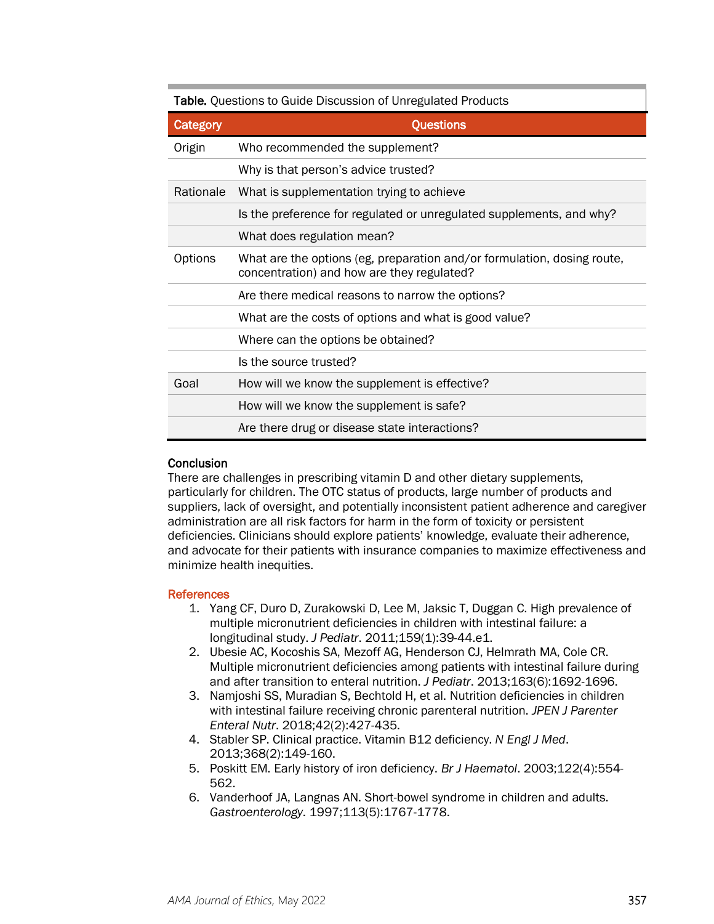| Table. Questions to Guide Discussion of Unregulated Products |                                                                                                                       |
|--------------------------------------------------------------|-----------------------------------------------------------------------------------------------------------------------|
| Category                                                     | <b>Questions</b>                                                                                                      |
| Origin                                                       | Who recommended the supplement?                                                                                       |
|                                                              | Why is that person's advice trusted?                                                                                  |
| Rationale                                                    | What is supplementation trying to achieve                                                                             |
|                                                              | Is the preference for regulated or unregulated supplements, and why?                                                  |
|                                                              | What does regulation mean?                                                                                            |
| Options                                                      | What are the options (eg, preparation and/or formulation, dosing route,<br>concentration) and how are they regulated? |
|                                                              | Are there medical reasons to narrow the options?                                                                      |
|                                                              | What are the costs of options and what is good value?                                                                 |
|                                                              | Where can the options be obtained?                                                                                    |
|                                                              | Is the source trusted?                                                                                                |
| Goal                                                         | How will we know the supplement is effective?                                                                         |
|                                                              | How will we know the supplement is safe?                                                                              |
|                                                              | Are there drug or disease state interactions?                                                                         |

### **Conclusion**

There are challenges in prescribing vitamin D and other dietary supplements, particularly for children. The OTC status of products, large number of products and suppliers, lack of oversight, and potentially inconsistent patient adherence and caregiver administration are all risk factors for harm in the form of toxicity or persistent deficiencies. Clinicians should explore patients' knowledge, evaluate their adherence, and advocate for their patients with insurance companies to maximize effectiveness and minimize health inequities.

#### References

- 1. Yang CF, Duro D, Zurakowski D, Lee M, Jaksic T, Duggan C. High prevalence of multiple micronutrient deficiencies in children with intestinal failure: a longitudinal study. *J Pediatr*. 2011;159(1):39-44.e1.
- 2. Ubesie AC, Kocoshis SA, Mezoff AG, Henderson CJ, Helmrath MA, Cole CR. Multiple micronutrient deficiencies among patients with intestinal failure during and after transition to enteral nutrition. *J Pediatr*. 2013;163(6):1692-1696.
- 3. Namjoshi SS, Muradian S, Bechtold H, et al. Nutrition deficiencies in children with intestinal failure receiving chronic parenteral nutrition. *JPEN J Parenter Enteral Nutr*. 2018;42(2):427-435.
- 4. Stabler SP. Clinical practice. Vitamin B12 deficiency. *N Engl J Med*. 2013;368(2):149-160.
- 5. Poskitt EM. Early history of iron deficiency. *Br J Haematol*. 2003;122(4):554- 562.
- 6. Vanderhoof JA, Langnas AN. Short-bowel syndrome in children and adults. *Gastroenterology*. 1997;113(5):1767-1778.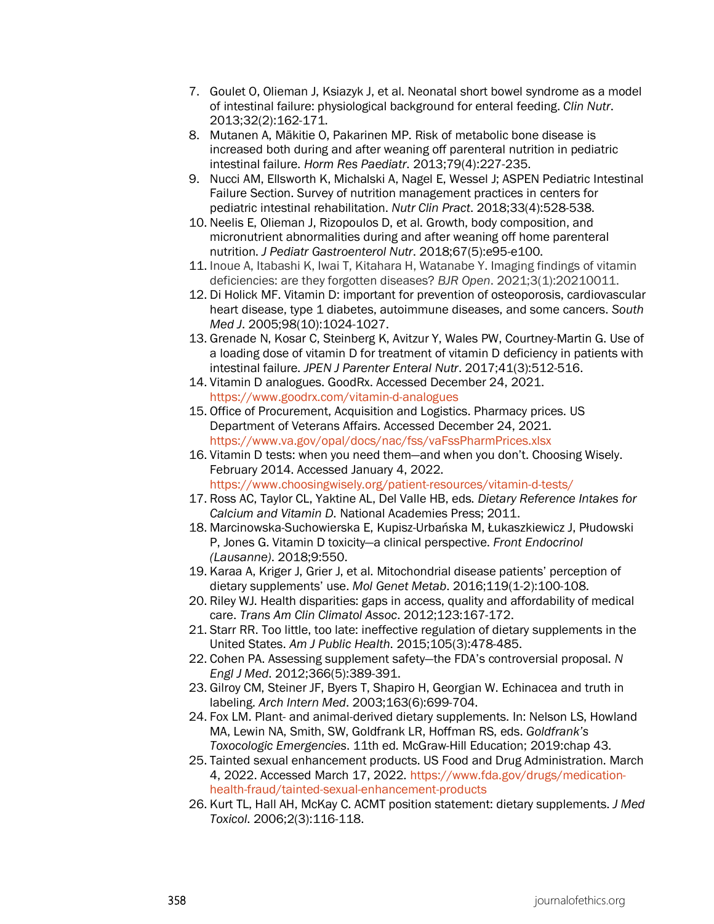- 7. Goulet O, Olieman J, Ksiazyk J, et al. Neonatal short bowel syndrome as a model of intestinal failure: physiological background for enteral feeding. *Clin Nutr*. 2013;32(2):162-171.
- 8. Mutanen A, Mäkitie O, Pakarinen MP. Risk of metabolic bone disease is increased both during and after weaning off parenteral nutrition in pediatric intestinal failure. *Horm Res Paediatr*. 2013;79(4):227-235.
- 9. Nucci AM, Ellsworth K, Michalski A, Nagel E, Wessel J; ASPEN Pediatric Intestinal Failure Section. Survey of nutrition management practices in centers for pediatric intestinal rehabilitation. *Nutr Clin Pract*. 2018;33(4):528-538.
- 10. Neelis E, Olieman J, Rizopoulos D, et al. Growth, body composition, and micronutrient abnormalities during and after weaning off home parenteral nutrition. *J Pediatr Gastroenterol Nutr*. 2018;67(5):e95-e100.
- 11. Inoue A, Itabashi K, Iwai T, Kitahara H, Watanabe Y. Imaging findings of vitamin deficiencies: are they forgotten diseases? *BJR Open*. 2021;3(1):20210011.
- 12. Di Holick MF. Vitamin D: important for prevention of osteoporosis, cardiovascular heart disease, type 1 diabetes, autoimmune diseases, and some cancers. *South Med J*. 2005;98(10):1024-1027.
- 13. Grenade N, Kosar C, Steinberg K, Avitzur Y, Wales PW, Courtney-Martin G. Use of a loading dose of vitamin D for treatment of vitamin D deficiency in patients with intestinal failure. *JPEN J Parenter Enteral Nutr*. 2017;41(3):512-516.
- 14. Vitamin D analogues. GoodRx. Accessed December 24, 2021. <https://www.goodrx.com/vitamin-d-analogues>
- 15. Office of Procurement, Acquisition and Logistics. Pharmacy prices. US Department of Veterans Affairs. Accessed December 24, 2021. <https://www.va.gov/opal/docs/nac/fss/vaFssPharmPrices.xlsx>
- 16. Vitamin D tests: when you need them—and when you don't. Choosing Wisely. February 2014. Accessed January 4, 2022. <https://www.choosingwisely.org/patient-resources/vitamin-d-tests/>
- 17. Ross AC, Taylor CL, Yaktine AL, Del Valle HB, eds. *Dietary Reference Intakes for Calcium and Vitamin D*. National Academies Press; 2011.
- 18. Marcinowska-Suchowierska E, Kupisz-Urbańska M, Łukaszkiewicz J, Płudowski P, Jones G. Vitamin D toxicity—a clinical perspective. *Front Endocrinol (Lausanne)*. 2018;9:550.
- 19. Karaa A, Kriger J, Grier J, et al. Mitochondrial disease patients' perception of dietary supplements' use. *Mol Genet Metab*. 2016;119(1-2):100-108.
- 20. Riley WJ. Health disparities: gaps in access, quality and affordability of medical care. *Trans Am Clin Climatol Assoc*. 2012;123:167-172.
- 21. Starr RR. Too little, too late: ineffective regulation of dietary supplements in the United States. *Am J Public Health*. 2015;105(3):478-485.
- 22. Cohen PA. Assessing supplement safety—the FDA's controversial proposal. *N Engl J Med*. 2012;366(5):389-391.
- 23. Gilroy CM, Steiner JF, Byers T, Shapiro H, Georgian W. Echinacea and truth in labeling. *Arch Intern Med*. 2003;163(6):699-704.
- 24. Fox LM. Plant- and animal-derived dietary supplements. In: Nelson LS, Howland MA, Lewin NA, Smith, SW, Goldfrank LR, Hoffman RS, eds. *Goldfrank's Toxocologic Emergencies*. 11th ed. McGraw-Hill Education; 2019:chap 43.
- 25. Tainted sexual enhancement products. US Food and Drug Administration. March 4, 2022. Accessed March 17, 2022. [https://www.fda.gov/drugs/medication](https://www.fda.gov/drugs/medication-health-fraud/tainted-sexual-enhancement-products)[health-fraud/tainted-sexual-enhancement-products](https://www.fda.gov/drugs/medication-health-fraud/tainted-sexual-enhancement-products)
- 26. Kurt TL, Hall AH, McKay C. ACMT position statement: dietary supplements. *J Med Toxicol*. 2006;2(3):116-118.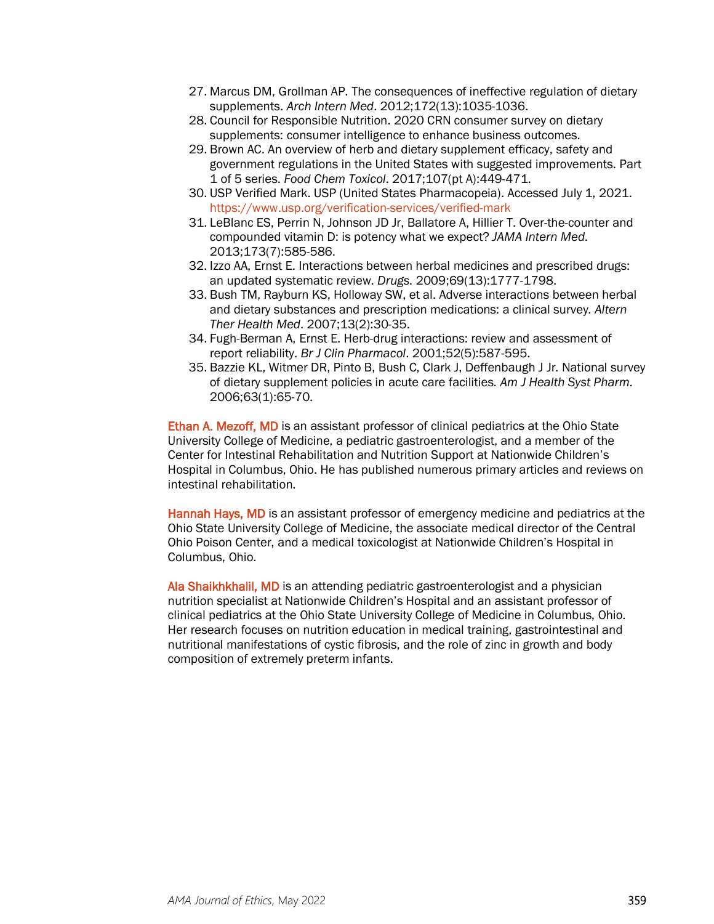- 27. Marcus DM, Grollman AP. The consequences of ineffective regulation of dietary supplements. *Arch Intern Med*. 2012;172(13):1035-1036.
- 28. Council for Responsible Nutrition. 2020 CRN consumer survey on dietary supplements: consumer intelligence to enhance business outcomes.
- 29. Brown AC. An overview of herb and dietary supplement efficacy, safety and government regulations in the United States with suggested improvements. Part 1 of 5 series. *Food Chem Toxicol*. 2017;107(pt A):449-471.
- 30. USP Verified Mark. USP (United States Pharmacopeia). Accessed July 1, 2021. <https://www.usp.org/verification-services/verified-mark>
- 31. LeBlanc ES, Perrin N, Johnson JD Jr, Ballatore A, Hillier T. Over-the-counter and compounded vitamin D: is potency what we expect? *JAMA Intern Med*. 2013;173(7):585-586.
- 32. Izzo AA, Ernst E. Interactions between herbal medicines and prescribed drugs: an updated systematic review. *Drugs*. 2009;69(13):1777-1798.
- 33. Bush TM, Rayburn KS, Holloway SW, et al. Adverse interactions between herbal and dietary substances and prescription medications: a clinical survey. *Altern Ther Health Med*. 2007;13(2):30-35.
- 34. Fugh-Berman A, Ernst E. Herb-drug interactions: review and assessment of report reliability. *Br J Clin Pharmacol*. 2001;52(5):587-595.
- 35. Bazzie KL, Witmer DR, Pinto B, Bush C, Clark J, Deffenbaugh J Jr. National survey of dietary supplement policies in acute care facilities. *Am J Health Syst Pharm*. 2006;63(1):65-70.

Ethan A. Mezoff, MD is an assistant professor of clinical pediatrics at the Ohio State University College of Medicine, a pediatric gastroenterologist, and a member of the Center for Intestinal Rehabilitation and Nutrition Support at Nationwide Children's Hospital in Columbus, Ohio. He has published numerous primary articles and reviews on intestinal rehabilitation.

Hannah Hays, MD is an assistant professor of emergency medicine and pediatrics at the Ohio State University College of Medicine, the associate medical director of the Central Ohio Poison Center, and a medical toxicologist at Nationwide Children's Hospital in Columbus, Ohio.

Ala Shaikhkhalil, MD is an attending pediatric gastroenterologist and a physician nutrition specialist at Nationwide Children's Hospital and an assistant professor of clinical pediatrics at the Ohio State University College of Medicine in Columbus, Ohio. Her research focuses on nutrition education in medical training, gastrointestinal and nutritional manifestations of cystic fibrosis, and the role of zinc in growth and body composition of extremely preterm infants.